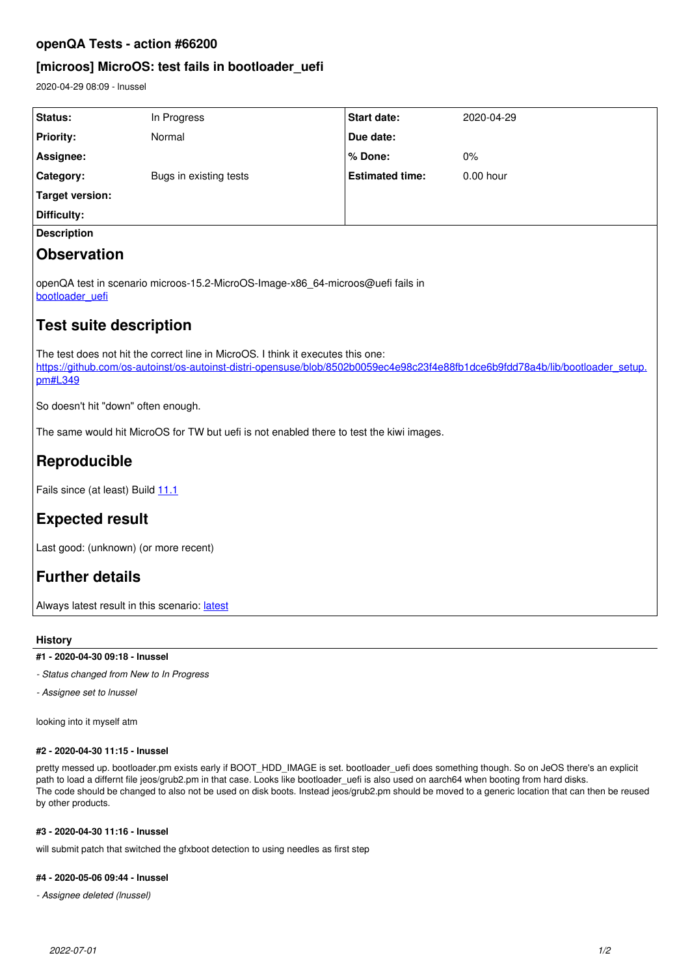## **openQA Tests - action #66200**

# **[microos] MicroOS: test fails in bootloader\_uefi**

2020-04-29 08:09 - lnussel

| Status:                                                                                                                                                                                                                       | In Progress            | <b>Start date:</b>     | 2020-04-29 |
|-------------------------------------------------------------------------------------------------------------------------------------------------------------------------------------------------------------------------------|------------------------|------------------------|------------|
| <b>Priority:</b>                                                                                                                                                                                                              | Normal                 | Due date:              |            |
| Assignee:                                                                                                                                                                                                                     |                        | % Done:                | 0%         |
| Category:                                                                                                                                                                                                                     | Bugs in existing tests | <b>Estimated time:</b> | 0.00 hour  |
| <b>Target version:</b>                                                                                                                                                                                                        |                        |                        |            |
| Difficulty:                                                                                                                                                                                                                   |                        |                        |            |
| <b>Description</b>                                                                                                                                                                                                            |                        |                        |            |
| <b>Observation</b>                                                                                                                                                                                                            |                        |                        |            |
| openQA test in scenario microos-15.2-MicroOS-Image-x86_64-microos@uefi fails in<br>bootloader uefi                                                                                                                            |                        |                        |            |
| <b>Test suite description</b>                                                                                                                                                                                                 |                        |                        |            |
| The test does not hit the correct line in MicroOS. I think it executes this one:<br>https://github.com/os-autoinst/os-autoinst-distri-opensuse/blob/8502b0059ec4e98c23f4e88fb1dce6b9fdd78a4b/lib/bootloader_setup.<br>pm#L349 |                        |                        |            |
| So doesn't hit "down" often enough.                                                                                                                                                                                           |                        |                        |            |
| The same would hit MicroOS for TW but uefi is not enabled there to test the kiwi images.                                                                                                                                      |                        |                        |            |
| Reproducible                                                                                                                                                                                                                  |                        |                        |            |
| Fails since (at least) Build 11.1                                                                                                                                                                                             |                        |                        |            |
| <b>Expected result</b>                                                                                                                                                                                                        |                        |                        |            |
| Last good: (unknown) (or more recent)                                                                                                                                                                                         |                        |                        |            |
| <b>Further details</b>                                                                                                                                                                                                        |                        |                        |            |
| Always latest result in this scenario: latest                                                                                                                                                                                 |                        |                        |            |

## **History**

**#1 - 2020-04-30 09:18 - lnussel**

*- Status changed from New to In Progress*

*- Assignee set to lnussel*

looking into it myself atm

#### **#2 - 2020-04-30 11:15 - lnussel**

pretty messed up. bootloader.pm exists early if BOOT\_HDD\_IMAGE is set. bootloader\_uefi does something though. So on JeOS there's an explicit path to load a differnt file jeos/grub2.pm in that case. Looks like bootloader\_uefi is also used on aarch64 when booting from hard disks. The code should be changed to also not be used on disk boots. Instead jeos/grub2.pm should be moved to a generic location that can then be reused by other products.

## **#3 - 2020-04-30 11:16 - lnussel**

will submit patch that switched the gfxboot detection to using needles as first step

#### **#4 - 2020-05-06 09:44 - lnussel**

*- Assignee deleted (lnussel)*